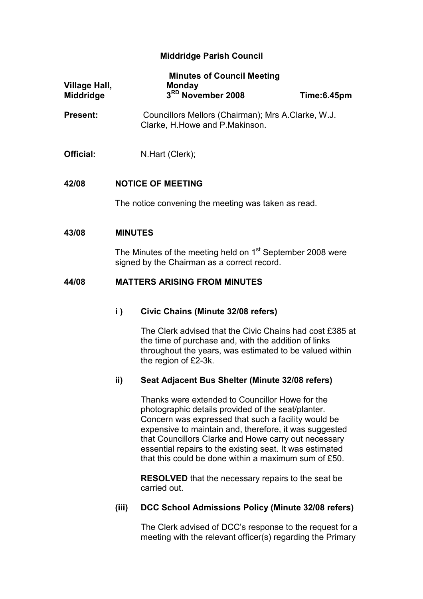# Middridge Parish Council

| Village Hall,<br>Middridge |                                                                                                                       | <b>Minutes of Council Meeting</b><br>Monday<br>3RD November 2008                                                                                                                                    | Time:6.45pm |  |  |
|----------------------------|-----------------------------------------------------------------------------------------------------------------------|-----------------------------------------------------------------------------------------------------------------------------------------------------------------------------------------------------|-------------|--|--|
| <b>Present:</b>            |                                                                                                                       | Councillors Mellors (Chairman); Mrs A.Clarke, W.J.<br>Clarke, H.Howe and P.Makinson.                                                                                                                |             |  |  |
| Official:                  |                                                                                                                       | N.Hart (Clerk);                                                                                                                                                                                     |             |  |  |
| 42/08                      | <b>NOTICE OF MEETING</b>                                                                                              |                                                                                                                                                                                                     |             |  |  |
|                            |                                                                                                                       | The notice convening the meeting was taken as read.                                                                                                                                                 |             |  |  |
| 43/08                      | <b>MINUTES</b>                                                                                                        |                                                                                                                                                                                                     |             |  |  |
|                            | The Minutes of the meeting held on 1 <sup>st</sup> September 2008 were<br>signed by the Chairman as a correct record. |                                                                                                                                                                                                     |             |  |  |
| 44/08                      | <b>MATTERS ARISING FROM MINUTES</b>                                                                                   |                                                                                                                                                                                                     |             |  |  |
|                            | $\mathbf{i}$ )                                                                                                        | <b>Civic Chains (Minute 32/08 refers)</b>                                                                                                                                                           |             |  |  |
|                            |                                                                                                                       | The Clerk advised that the Civic Chains had cost £385 at<br>the time of purchase and, with the addition of links<br>throughout the years, was estimated to be valued within<br>the region of £2-3k. |             |  |  |
|                            | ii)                                                                                                                   | Seat Adjacent Bus Shelter (Minute 32/08 refers)                                                                                                                                                     |             |  |  |
|                            |                                                                                                                       | Thanks were extended to Councillor Howe for the                                                                                                                                                     |             |  |  |

photographic details provided of the seat/planter. Concern was expressed that such a facility would be expensive to maintain and, therefore, it was suggested that Councillors Clarke and Howe carry out necessary essential repairs to the existing seat. It was estimated that this could be done within a maximum sum of £50.

RESOLVED that the necessary repairs to the seat be carried out.

## (iii) DCC School Admissions Policy (Minute 32/08 refers)

The Clerk advised of DCC's response to the request for a meeting with the relevant officer(s) regarding the Primary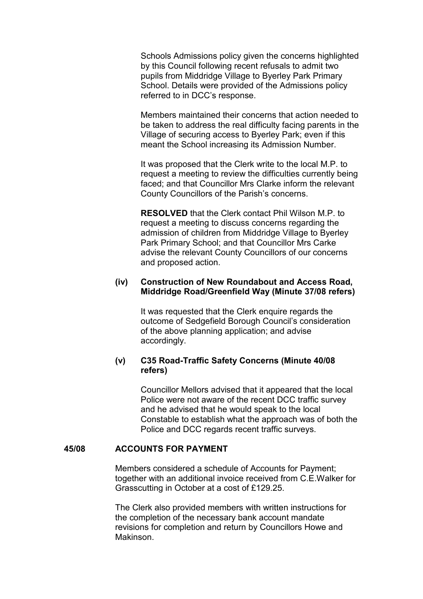Schools Admissions policy given the concerns highlighted by this Council following recent refusals to admit two pupils from Middridge Village to Byerley Park Primary School. Details were provided of the Admissions policy referred to in DCC's response.

Members maintained their concerns that action needed to be taken to address the real difficulty facing parents in the Village of securing access to Byerley Park; even if this meant the School increasing its Admission Number.

It was proposed that the Clerk write to the local M.P. to request a meeting to review the difficulties currently being faced; and that Councillor Mrs Clarke inform the relevant County Councillors of the Parish's concerns.

RESOLVED that the Clerk contact Phil Wilson M.P. to request a meeting to discuss concerns regarding the admission of children from Middridge Village to Byerley Park Primary School; and that Councillor Mrs Carke advise the relevant County Councillors of our concerns and proposed action.

## (iv) Construction of New Roundabout and Access Road, Middridge Road/Greenfield Way (Minute 37/08 refers)

It was requested that the Clerk enquire regards the outcome of Sedgefield Borough Council's consideration of the above planning application; and advise accordingly.

## (v) C35 Road-Traffic Safety Concerns (Minute 40/08 refers)

Councillor Mellors advised that it appeared that the local Police were not aware of the recent DCC traffic survey and he advised that he would speak to the local Constable to establish what the approach was of both the Police and DCC regards recent traffic surveys.

## 45/08 ACCOUNTS FOR PAYMENT

Members considered a schedule of Accounts for Payment; together with an additional invoice received from C.E.Walker for Grasscutting in October at a cost of £129.25.

 The Clerk also provided members with written instructions for the completion of the necessary bank account mandate revisions for completion and return by Councillors Howe and Makinson.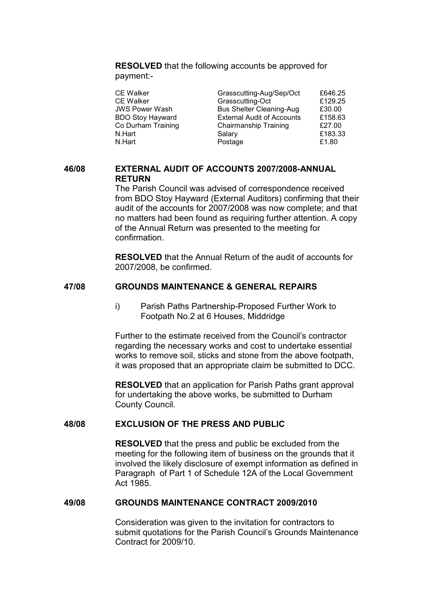RESOLVED that the following accounts be approved for payment:-

| <b>CE Walker</b>        | Grasscutting-Aug/Sep/Oct          | £646.25 |
|-------------------------|-----------------------------------|---------|
| <b>CE Walker</b>        | Grasscutting-Oct                  | £129.25 |
| <b>JWS Power Wash</b>   | <b>Bus Shelter Cleaning-Aug</b>   | £30.00  |
| <b>BDO Stoy Hayward</b> | <b>External Audit of Accounts</b> | £158.63 |
| Co Durham Training      | Chairmanship Training             | £27.00  |
| N.Hart                  | Salary                            | £183.33 |
| N.Hart                  | Postage                           | £1.80   |

## 46/08 EXTERNAL AUDIT OF ACCOUNTS 2007/2008-ANNUAL **RETURN**

The Parish Council was advised of correspondence received from BDO Stoy Hayward (External Auditors) confirming that their audit of the accounts for 2007/2008 was now complete; and that no matters had been found as requiring further attention. A copy of the Annual Return was presented to the meeting for confirmation.

RESOLVED that the Annual Return of the audit of accounts for 2007/2008, be confirmed.

# 47/08 GROUNDS MAINTENANCE & GENERAL REPAIRS

i) Parish Paths Partnership-Proposed Further Work to Footpath No.2 at 6 Houses, Middridge

Further to the estimate received from the Council's contractor regarding the necessary works and cost to undertake essential works to remove soil, sticks and stone from the above footpath, it was proposed that an appropriate claim be submitted to DCC.

RESOLVED that an application for Parish Paths grant approval for undertaking the above works, be submitted to Durham County Council.

### 48/08 EXCLUSION OF THE PRESS AND PUBLIC

RESOLVED that the press and public be excluded from the meeting for the following item of business on the grounds that it involved the likely disclosure of exempt information as defined in Paragraph of Part 1 of Schedule 12A of the Local Government Act 1985.

## 49/08 GROUNDS MAINTENANCE CONTRACT 2009/2010

Consideration was given to the invitation for contractors to submit quotations for the Parish Council's Grounds Maintenance Contract for 2009/10.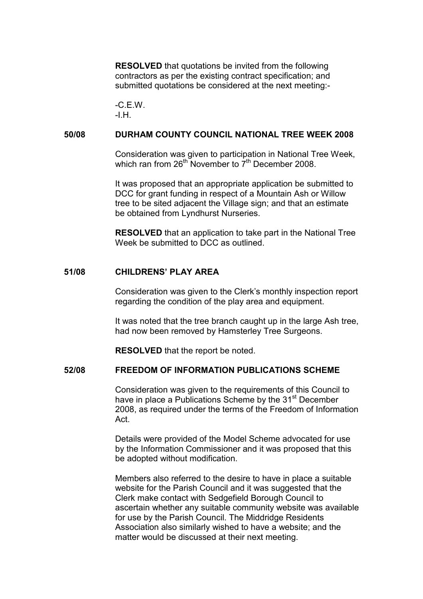RESOLVED that quotations be invited from the following contractors as per the existing contract specification; and submitted quotations be considered at the next meeting:-

-C.E.W.  $-H$ .

### 50/08 DURHAM COUNTY COUNCIL NATIONAL TREE WEEK 2008

Consideration was given to participation in National Tree Week, which ran from 26<sup>th</sup> November to 7<sup>th</sup> December 2008.

It was proposed that an appropriate application be submitted to DCC for grant funding in respect of a Mountain Ash or Willow tree to be sited adjacent the Village sign; and that an estimate be obtained from Lyndhurst Nurseries.

RESOLVED that an application to take part in the National Tree Week be submitted to DCC as outlined.

### 51/08 CHILDRENS' PLAY AREA

Consideration was given to the Clerk's monthly inspection report regarding the condition of the play area and equipment.

 It was noted that the tree branch caught up in the large Ash tree, had now been removed by Hamsterley Tree Surgeons.

RESOLVED that the report be noted.

## 52/08 FREEDOM OF INFORMATION PUBLICATIONS SCHEME

Consideration was given to the requirements of this Council to have in place a Publications Scheme by the 31<sup>st</sup> December 2008, as required under the terms of the Freedom of Information Act.

 Details were provided of the Model Scheme advocated for use by the Information Commissioner and it was proposed that this be adopted without modification.

 Members also referred to the desire to have in place a suitable website for the Parish Council and it was suggested that the Clerk make contact with Sedgefield Borough Council to ascertain whether any suitable community website was available for use by the Parish Council. The Middridge Residents Association also similarly wished to have a website; and the matter would be discussed at their next meeting.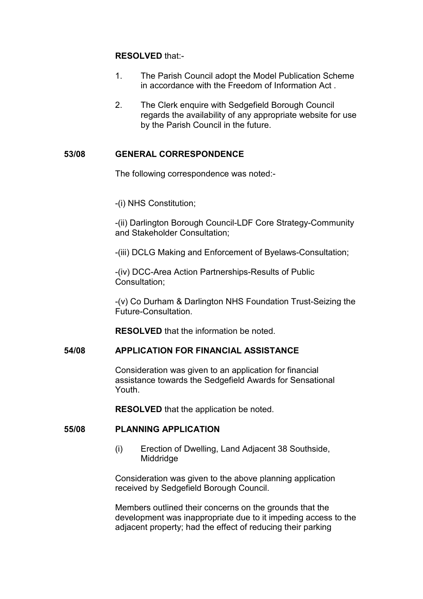## RESOLVED that:-

- 1. The Parish Council adopt the Model Publication Scheme in accordance with the Freedom of Information Act .
- 2. The Clerk enquire with Sedgefield Borough Council regards the availability of any appropriate website for use by the Parish Council in the future.

## 53/08 GENERAL CORRESPONDENCE

The following correspondence was noted:-

-(i) NHS Constitution;

-(ii) Darlington Borough Council-LDF Core Strategy-Community and Stakeholder Consultation;

-(iii) DCLG Making and Enforcement of Byelaws-Consultation;

-(iv) DCC-Area Action Partnerships-Results of Public Consultation;

-(v) Co Durham & Darlington NHS Foundation Trust-Seizing the Future-Consultation.

RESOLVED that the information be noted.

### 54/08 APPLICATION FOR FINANCIAL ASSISTANCE

Consideration was given to an application for financial assistance towards the Sedgefield Awards for Sensational Youth.

RESOLVED that the application be noted.

### 55/08 PLANNING APPLICATION

(i) Erection of Dwelling, Land Adjacent 38 Southside, **Middridge** 

Consideration was given to the above planning application received by Sedgefield Borough Council.

 Members outlined their concerns on the grounds that the development was inappropriate due to it impeding access to the adjacent property; had the effect of reducing their parking